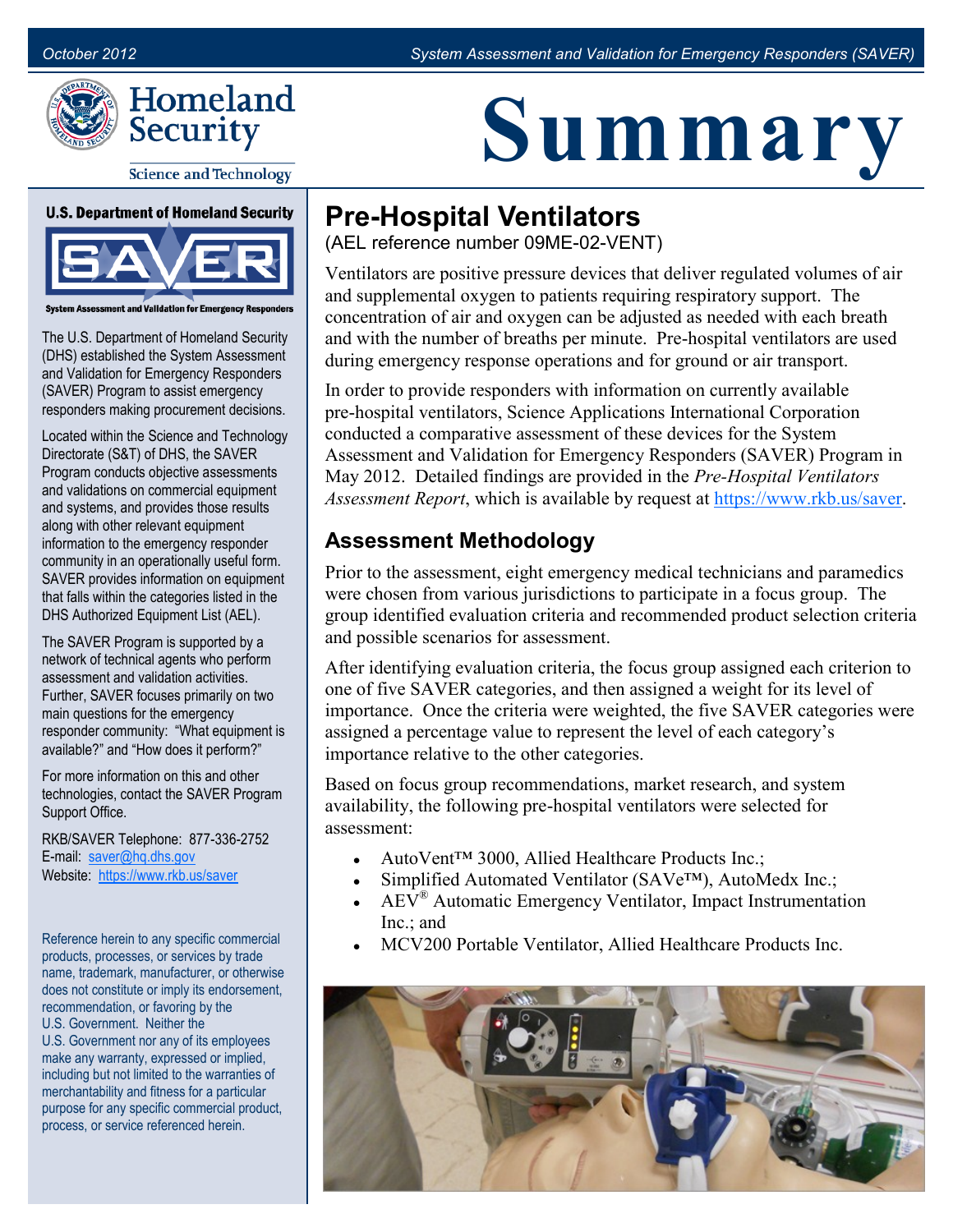



**Science and Technology** 

**U.S. Department of Homeland Security** 



**Assessment and Validation for Emergency Rese** 

The U.S. Department of Homeland Security (DHS) established the System Assessment and Validation for Emergency Responders (SAVER) Program to assist emergency responders making procurement decisions.

Located within the Science and Technology Directorate (S&T) of DHS, the SAVER Program conducts objective assessments and validations on commercial equipment and systems, and provides those results along with other relevant equipment information to the emergency responder community in an operationally useful form. SAVER provides information on equipment that falls within the categories listed in the DHS Authorized Equipment List (AEL).

The SAVER Program is supported by a network of technical agents who perform assessment and validation activities. Further, SAVER focuses primarily on two main questions for the emergency responder community: "What equipment is available?" and "How does it perform?"

For more information on this and other technologies, contact the SAVER Program Support Office.

RKB/SAVER Telephone: 877-336-2752 E-mail: [saver@hq.dhs.gov](mailto:saver@dhs.gov) Website: [https://www.rkb.us/saver](https://www.rkb.us/SAVER)

Reference herein to any specific commercial products, processes, or services by trade name, trademark, manufacturer, or otherwise does not constitute or imply its endorsement, recommendation, or favoring by the U.S. Government. Neither the U.S. Government nor any of its employees make any warranty, expressed or implied, including but not limited to the warranties of merchantability and fitness for a particular purpose for any specific commercial product, process, or service referenced herein.

# **Summary**

## **Pre-Hospital Ventilators**

(AEL reference number 09ME-02-VENT)

Ventilators are positive pressure devices that deliver regulated volumes of air and supplemental oxygen to patients requiring respiratory support. The concentration of air and oxygen can be adjusted as needed with each breath and with the number of breaths per minute. Pre-hospital ventilators are used during emergency response operations and for ground or air transport.

In order to provide responders with information on currently available pre-hospital ventilators, Science Applications International Corporation conducted a comparative assessment of these devices for the System Assessment and Validation for Emergency Responders (SAVER) Program in May 2012. Detailed findings are provided in the *Pre-Hospital Ventilators Assessment Report*, which is available by request at [https://www.rkb.us/saver.](https://www.rkb.us/saver)

#### **Assessment Methodology**

Prior to the assessment, eight emergency medical technicians and paramedics were chosen from various jurisdictions to participate in a focus group. The group identified evaluation criteria and recommended product selection criteria and possible scenarios for assessment.

After identifying evaluation criteria, the focus group assigned each criterion to one of five SAVER categories, and then assigned a weight for its level of importance. Once the criteria were weighted, the five SAVER categories were assigned a percentage value to represent the level of each category's importance relative to the other categories.

Based on focus group recommendations, market research, and system availability, the following pre-hospital ventilators were selected for assessment:

- AutoVent<sup>™</sup> 3000, Allied Healthcare Products Inc.;
- Simplified Automated Ventilator (SAVe™), AutoMedx Inc.;
- $AEV^{\otimes}$  Automatic Emergency Ventilator, Impact Instrumentation Inc.; and
- MCV200 Portable Ventilator, Allied Healthcare Products Inc.

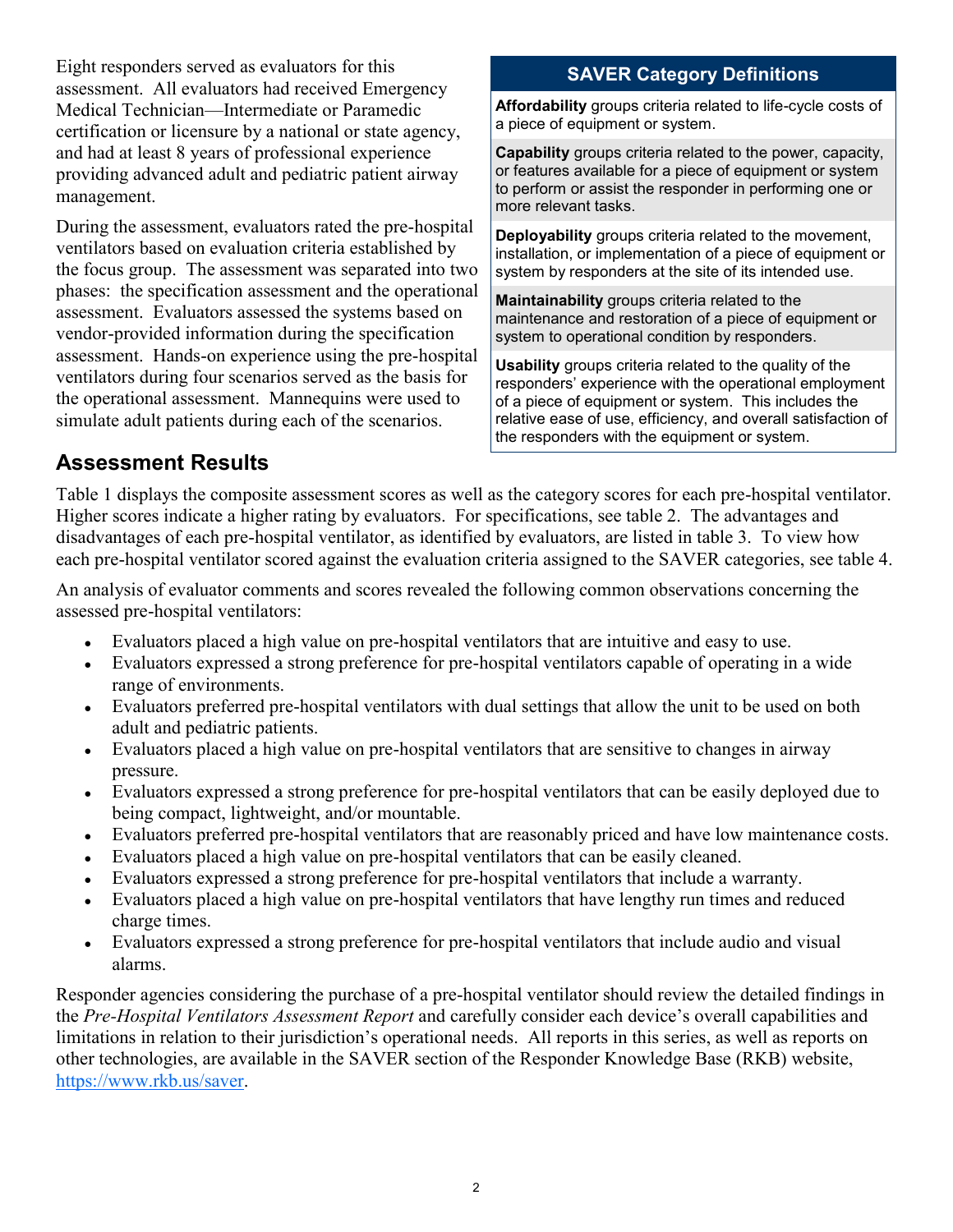Eight responders served as evaluators for this assessment. All evaluators had received Emergency Medical Technician—Intermediate or Paramedic certification or licensure by a national or state agency, and had at least 8 years of professional experience providing advanced adult and pediatric patient airway management.

During the assessment, evaluators rated the pre-hospital ventilators based on evaluation criteria established by the focus group. The assessment was separated into two phases: the specification assessment and the operational assessment. Evaluators assessed the systems based on vendor-provided information during the specification assessment. Hands-on experience using the pre-hospital ventilators during four scenarios served as the basis for the operational assessment. Mannequins were used to simulate adult patients during each of the scenarios.

#### **SAVER Category Definitions**

**Affordability** groups criteria related to life-cycle costs of a piece of equipment or system.

**Capability** groups criteria related to the power, capacity, or features available for a piece of equipment or system to perform or assist the responder in performing one or more relevant tasks.

**Deployability** groups criteria related to the movement, installation, or implementation of a piece of equipment or system by responders at the site of its intended use.

**Maintainability** groups criteria related to the maintenance and restoration of a piece of equipment or system to operational condition by responders.

**Usability** groups criteria related to the quality of the responders' experience with the operational employment of a piece of equipment or system. This includes the relative ease of use, efficiency, and overall satisfaction of the responders with the equipment or system.

#### **Assessment Results**

Table 1 displays the composite assessment scores as well as the category scores for each pre-hospital ventilator. Higher scores indicate a higher rating by evaluators. For specifications, see table 2. The advantages and disadvantages of each pre-hospital ventilator, as identified by evaluators, are listed in table 3. To view how each pre-hospital ventilator scored against the evaluation criteria assigned to the SAVER categories, see table 4.

An analysis of evaluator comments and scores revealed the following common observations concerning the assessed pre-hospital ventilators:

- Evaluators placed a high value on pre-hospital ventilators that are intuitive and easy to use.
- Evaluators expressed a strong preference for pre-hospital ventilators capable of operating in a wide range of environments.
- Evaluators preferred pre-hospital ventilators with dual settings that allow the unit to be used on both adult and pediatric patients.
- Evaluators placed a high value on pre-hospital ventilators that are sensitive to changes in airway pressure.
- Evaluators expressed a strong preference for pre-hospital ventilators that can be easily deployed due to being compact, lightweight, and/or mountable.
- Evaluators preferred pre-hospital ventilators that are reasonably priced and have low maintenance costs.
- Evaluators placed a high value on pre-hospital ventilators that can be easily cleaned.
- Evaluators expressed a strong preference for pre-hospital ventilators that include a warranty.
- Evaluators placed a high value on pre-hospital ventilators that have lengthy run times and reduced charge times.
- Evaluators expressed a strong preference for pre-hospital ventilators that include audio and visual alarms.

Responder agencies considering the purchase of a pre-hospital ventilator should review the detailed findings in the *Pre-Hospital Ventilators Assessment Report* and carefully consider each device's overall capabilities and limitations in relation to their jurisdiction's operational needs. All reports in this series, as well as reports on other technologies, are available in the SAVER section of the Responder Knowledge Base (RKB) website, [https://www.rkb.us/saver.](https://www.rkb.us/saver)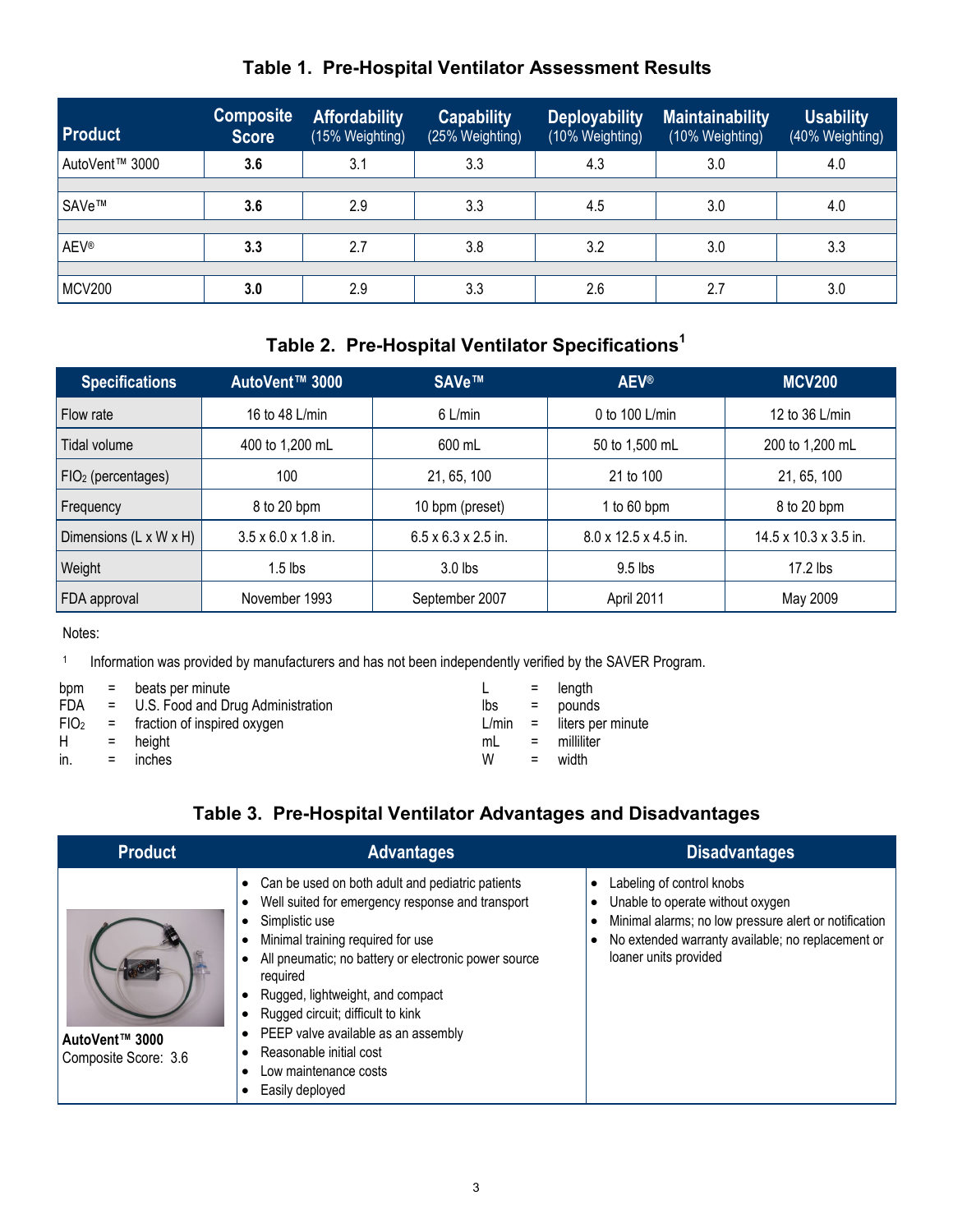#### **Table 1. Pre-Hospital Ventilator Assessment Results**

| <b>Product</b> | <b>Composite</b><br><b>Score</b> | <b>Affordability</b><br>(15% Weighting) | <b>Capability</b><br>(25% Weighting) | <b>Deployability</b><br>(10% Weighting) | <b>Maintainability</b><br>(10% Weighting) | <b>Usability</b><br>(40% Weighting) |
|----------------|----------------------------------|-----------------------------------------|--------------------------------------|-----------------------------------------|-------------------------------------------|-------------------------------------|
| AutoVent™ 3000 | 3.6                              | 3.1                                     | 3.3                                  | 4.3                                     | 3.0                                       | 4.0                                 |
|                |                                  |                                         |                                      |                                         |                                           |                                     |
| SAVe™          | 3.6                              | 2.9                                     | 3.3                                  | 4.5                                     | 3.0                                       | 4.0                                 |
|                |                                  |                                         |                                      |                                         |                                           |                                     |
| <b>AEV®</b>    | 3.3                              | 2.7                                     | 3.8                                  | 3.2                                     | 3.0                                       | 3.3                                 |
|                |                                  |                                         |                                      |                                         |                                           |                                     |
| <b>MCV200</b>  | 3.0                              | 2.9                                     | 3.3                                  | 2.6                                     | 2.7                                       | 3.0                                 |

#### **Table 2. Pre-Hospital Ventilator Specifications<sup>1</sup>**

| <b>Specifications</b>  | AutoVent™ 3000                  | SAVe™                           | <b>AEV®</b>                      | <b>MCV200</b>                     |
|------------------------|---------------------------------|---------------------------------|----------------------------------|-----------------------------------|
| Flow rate              | 16 to 48 L/min                  | $6$ L/min                       | 0 to 100 L/min                   | 12 to 36 L/min                    |
| Tidal volume           | 400 to 1,200 mL                 | 600 mL                          | 50 to 1,500 mL                   | 200 to 1,200 mL                   |
| $FIO2$ (percentages)   | 100                             | 21, 65, 100                     | 21 to 100                        | 21, 65, 100                       |
| Frequency              | 8 to 20 bpm                     | 10 bpm (preset)                 | 1 to $60$ bpm                    | 8 to 20 bpm                       |
| Dimensions (L x W x H) | $3.5 \times 6.0 \times 1.8$ in. | $6.5 \times 6.3 \times 2.5$ in. | $8.0 \times 12.5 \times 4.5$ in. | $14.5 \times 10.3 \times 3.5$ in. |
| Weight                 | $1.5$ lbs                       | $3.0$ lbs                       | $9.5$ lbs                        | $17.2$ lbs                        |
| FDA approval           | November 1993                   | September 2007                  | April 2011                       | May 2009                          |

#### Notes:

1 Information was provided by manufacturers and has not been independently verified by the SAVER Program.

| bpm              |     | $=$ beats per minute                |       |     | $=$ length          |
|------------------|-----|-------------------------------------|-------|-----|---------------------|
| FDA.             |     | = U.S. Food and Drug Administration | lbs   |     | $=$ pounds          |
| FIO <sub>2</sub> |     | = fraction of inspired oxygen       | L/min |     | = liters per minute |
| H                |     | $=$ height                          | mL    |     | $=$ milliliter      |
| in.              | $=$ | inches                              | W     | $=$ | width               |

#### **Table 3. Pre-Hospital Ventilator Advantages and Disadvantages**

| <b>Product</b>                         | <b>Advantages</b>                                                                                                                                                                                                                                                                                                                                                                                                      | <b>Disadvantages</b>                                                                                                                                                                                 |
|----------------------------------------|------------------------------------------------------------------------------------------------------------------------------------------------------------------------------------------------------------------------------------------------------------------------------------------------------------------------------------------------------------------------------------------------------------------------|------------------------------------------------------------------------------------------------------------------------------------------------------------------------------------------------------|
| AutoVent™ 3000<br>Composite Score: 3.6 | Can be used on both adult and pediatric patients<br>Well suited for emergency response and transport<br>Simplistic use<br>Minimal training required for use<br>All pneumatic; no battery or electronic power source<br>required<br>Rugged, lightweight, and compact<br>Rugged circuit; difficult to kink<br>PEEP valve available as an assembly<br>Reasonable initial cost<br>Low maintenance costs<br>Easily deployed | Labeling of control knobs<br>Unable to operate without oxygen<br>Minimal alarms; no low pressure alert or notification<br>No extended warranty available; no replacement or<br>loaner units provided |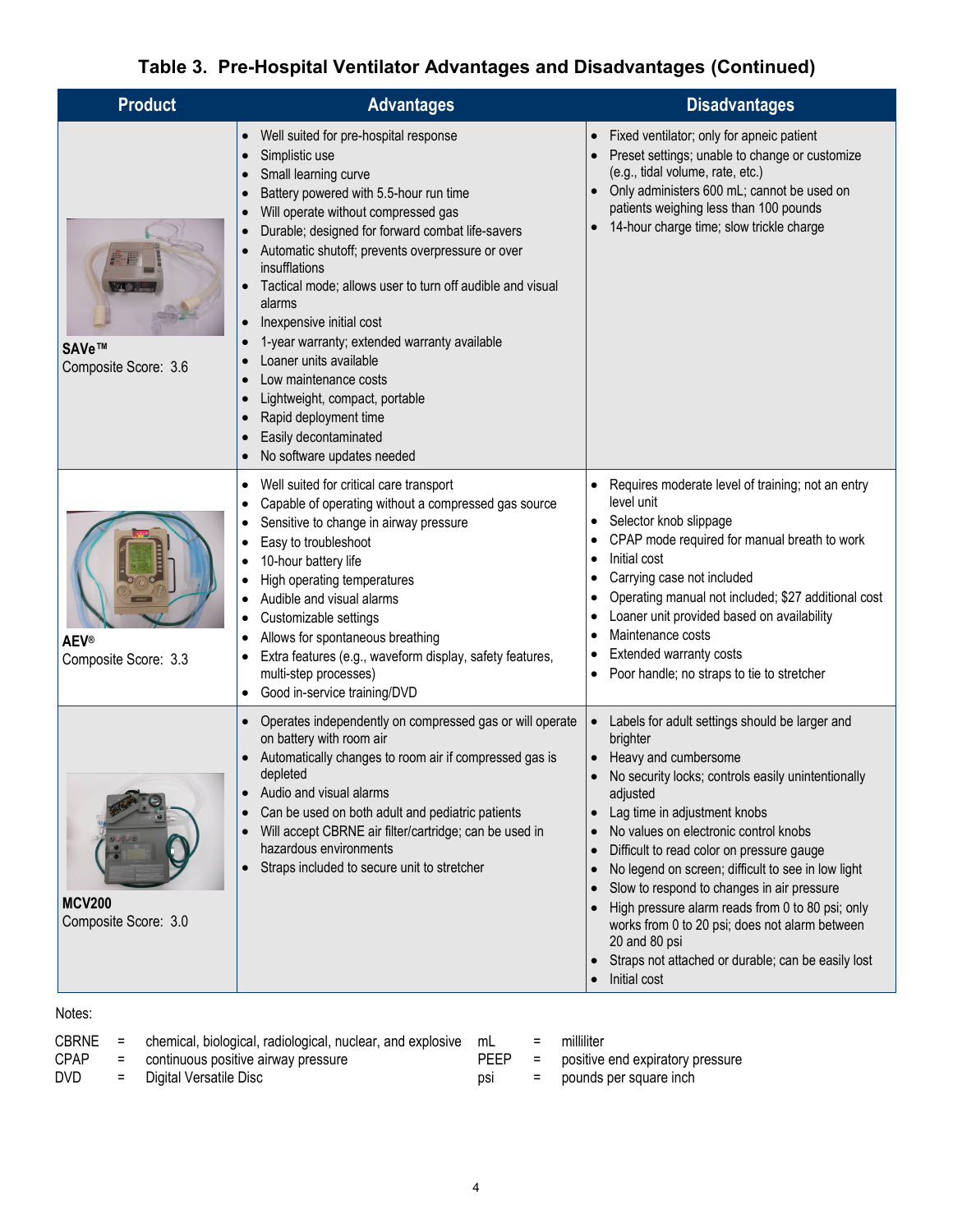### **Table 3. Pre-Hospital Ventilator Advantages and Disadvantages (Continued)**

| <b>Product</b>                        | <b>Advantages</b>                                                                                                                                                                                                                                                                                                                                                                                                                                                                                                                                                                                                                                                                                                                                                                                                                 | <b>Disadvantages</b>                                                                                                                                                                                                                                                                                                                                                                                                                                                                                                                                                                     |
|---------------------------------------|-----------------------------------------------------------------------------------------------------------------------------------------------------------------------------------------------------------------------------------------------------------------------------------------------------------------------------------------------------------------------------------------------------------------------------------------------------------------------------------------------------------------------------------------------------------------------------------------------------------------------------------------------------------------------------------------------------------------------------------------------------------------------------------------------------------------------------------|------------------------------------------------------------------------------------------------------------------------------------------------------------------------------------------------------------------------------------------------------------------------------------------------------------------------------------------------------------------------------------------------------------------------------------------------------------------------------------------------------------------------------------------------------------------------------------------|
| SAVe™<br>Composite Score: 3.6         | Well suited for pre-hospital response<br>$\bullet$<br>Simplistic use<br>$\bullet$<br>Small learning curve<br>$\bullet$<br>Battery powered with 5.5-hour run time<br>$\bullet$<br>Will operate without compressed gas<br>$\bullet$<br>Durable; designed for forward combat life-savers<br>$\bullet$<br>Automatic shutoff; prevents overpressure or over<br>$\bullet$<br>insufflations<br>Tactical mode; allows user to turn off audible and visual<br>$\bullet$<br>alarms<br>Inexpensive initial cost<br>$\bullet$<br>1-year warranty; extended warranty available<br>$\bullet$<br>Loaner units available<br>$\bullet$<br>Low maintenance costs<br>$\bullet$<br>Lightweight, compact, portable<br>$\bullet$<br>Rapid deployment time<br>$\bullet$<br>Easily decontaminated<br>$\bullet$<br>No software updates needed<br>$\bullet$ | Fixed ventilator; only for apneic patient<br>$\bullet$<br>Preset settings; unable to change or customize<br>(e.g., tidal volume, rate, etc.)<br>Only administers 600 mL; cannot be used on<br>patients weighing less than 100 pounds<br>14-hour charge time; slow trickle charge<br>$\bullet$                                                                                                                                                                                                                                                                                            |
| <b>AEV®</b><br>Composite Score: 3.3   | Well suited for critical care transport<br>٠<br>Capable of operating without a compressed gas source<br>٠<br>Sensitive to change in airway pressure<br>$\bullet$<br>Easy to troubleshoot<br>٠<br>10-hour battery life<br>٠<br>High operating temperatures<br>٠<br>Audible and visual alarms<br>٠<br>Customizable settings<br>٠<br>Allows for spontaneous breathing<br>Extra features (e.g., waveform display, safety features,<br>multi-step processes)<br>Good in-service training/DVD<br>٠                                                                                                                                                                                                                                                                                                                                      | Requires moderate level of training; not an entry<br>level unit<br>Selector knob slippage<br>CPAP mode required for manual breath to work<br>Initial cost<br>Carrying case not included<br>Operating manual not included; \$27 additional cost<br>Loaner unit provided based on availability<br>Maintenance costs<br><b>Extended warranty costs</b><br>Poor handle; no straps to tie to stretcher                                                                                                                                                                                        |
| <b>MCV200</b><br>Composite Score: 3.0 | Operates independently on compressed gas or will operate<br>$\bullet$<br>on battery with room air<br>Automatically changes to room air if compressed gas is<br>depleted<br>Audio and visual alarms<br>$\bullet$<br>Can be used on both adult and pediatric patients<br>$\bullet$<br>Will accept CBRNE air filter/cartridge; can be used in<br>$\bullet$<br>hazardous environments<br>Straps included to secure unit to stretcher<br>$\bullet$                                                                                                                                                                                                                                                                                                                                                                                     | Labels for adult settings should be larger and<br>$\bullet$<br>brighter<br>Heavy and cumbersome<br>No security locks; controls easily unintentionally<br>adjusted<br>Lag time in adjustment knobs<br>No values on electronic control knobs<br>Difficult to read color on pressure gauge<br>No legend on screen; difficult to see in low light<br>Slow to respond to changes in air pressure<br>High pressure alarm reads from 0 to 80 psi; only<br>works from 0 to 20 psi; does not alarm between<br>20 and 80 psi<br>Straps not attached or durable; can be easily lost<br>Initial cost |

Notes:

| <b>CBRNE</b> | $=$ chemical, biological, radiological, nuclear, and explosive $mL =$ milliliter |      |                                    |
|--------------|----------------------------------------------------------------------------------|------|------------------------------------|
| <b>CPAP</b>  | = continuous positive airway pressure                                            | PEEP | = positive end expiratory pressure |
| <b>DVD</b>   | = Digital Versatile Disc                                                         | DSI  | = pounds per square inch           |